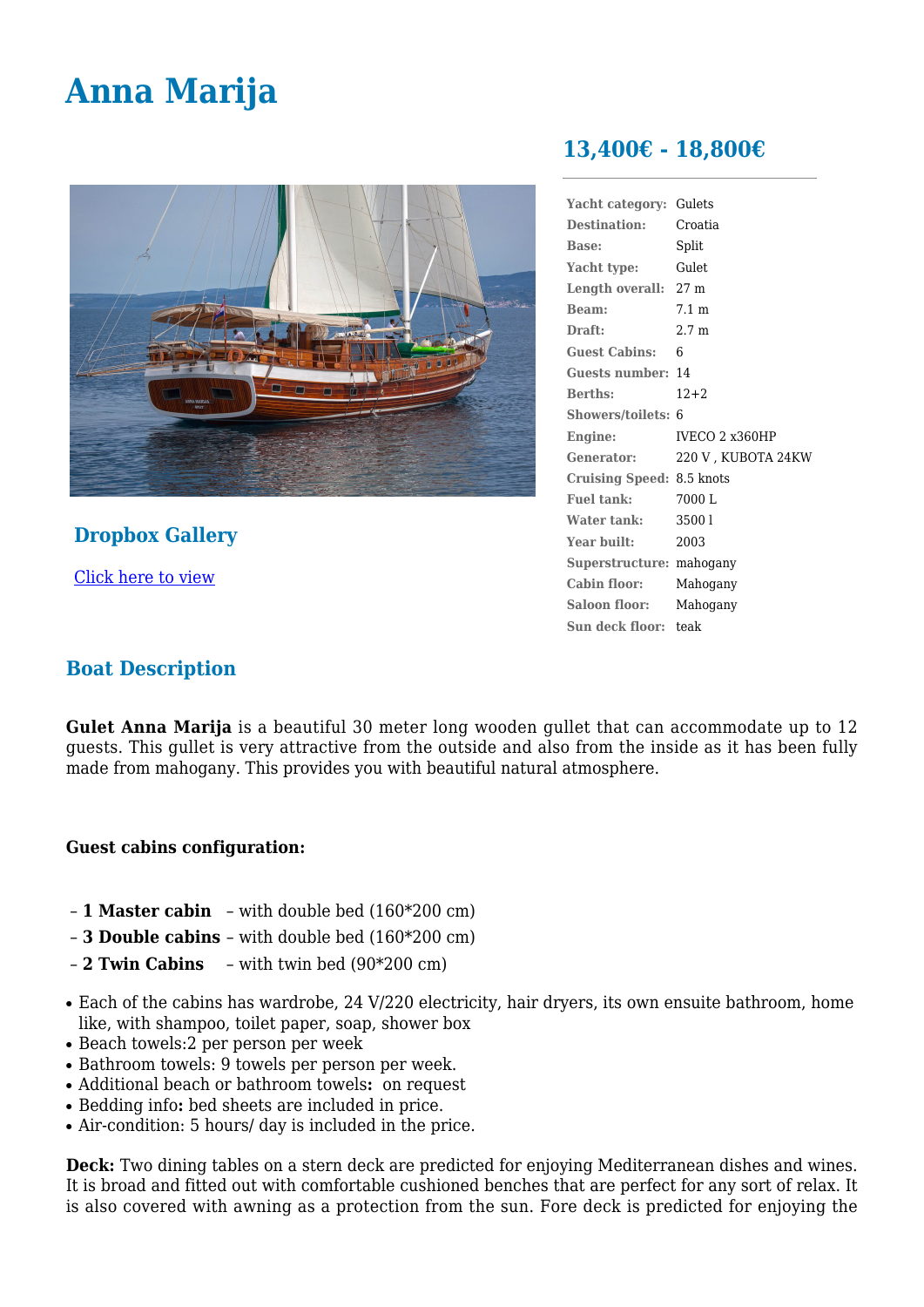# **Anna Marija**



## **Dropbox Gallery**

[Click here to view](https://www.dropbox.com/sh/5ggx8ifmhc2v4d9/AAAV7DEOGHo8y4d-xRYu_pS0a/best-web-photos-Anna-Marija?dl=0)

# **13,400€ - 18,800€**

| Yacht category:                  | Gulets             |
|----------------------------------|--------------------|
| <b>Destination:</b>              | Croatia            |
| <b>Base:</b>                     | Split              |
| Yacht type:                      | Gulet              |
| Length overall: 27 m             |                    |
| Beam:                            | $7.1 \text{ m}$    |
| Draft:                           | 2.7 <sub>m</sub>   |
| Guest Cabins: 6                  |                    |
| <b>Guests number: 14</b>         |                    |
| <b>Berths:</b>                   | $12+2$             |
| Showers/toilets: 6               |                    |
| Engine:                          | IVECO 2 x360HP     |
| Generator:                       | 220 V, KUBOTA 24KW |
| <b>Cruising Speed: 8.5 knots</b> |                    |
| Fuel tank:                       | 7000 L             |
| Water tank:                      | 35001              |
| Year built:                      | 2003               |
| Superstructure: mahogany         |                    |
| Cabin floor:                     | Mahogany           |
| Saloon floor:                    | Mahogany           |
| Sun deck floor: teak             |                    |
|                                  |                    |

### **Boat Description**

**Gulet Anna Marija** is a beautiful 30 meter long wooden gullet that can accommodate up to 12 guests. This gullet is very attractive from the outside and also from the inside as it has been fully made from mahogany. This provides you with beautiful natural atmosphere.

#### **Guest cabins configuration:**

- **1 Master cabin** with double bed (160\*200 cm)
- **3 Double cabins** with double bed (160\*200 cm)
- **2 Twin Cabins** with twin bed (90\*200 cm)
- Each of the cabins has wardrobe, 24 V/220 electricity, hair dryers, its own ensuite bathroom, home like, with shampoo, toilet paper, soap, shower box
- Beach towels: 2 per person per week
- Bathroom towels: 9 towels per person per week.
- Additional beach or bathroom towels**:** on request
- Bedding info**:** bed sheets are included in price.
- Air-condition: 5 hours/ day is included in the price.

**Deck:** Two dining tables on a stern deck are predicted for enjoying Mediterranean dishes and wines. It is broad and fitted out with comfortable cushioned benches that are perfect for any sort of relax. It is also covered with awning as a protection from the sun. Fore deck is predicted for enjoying the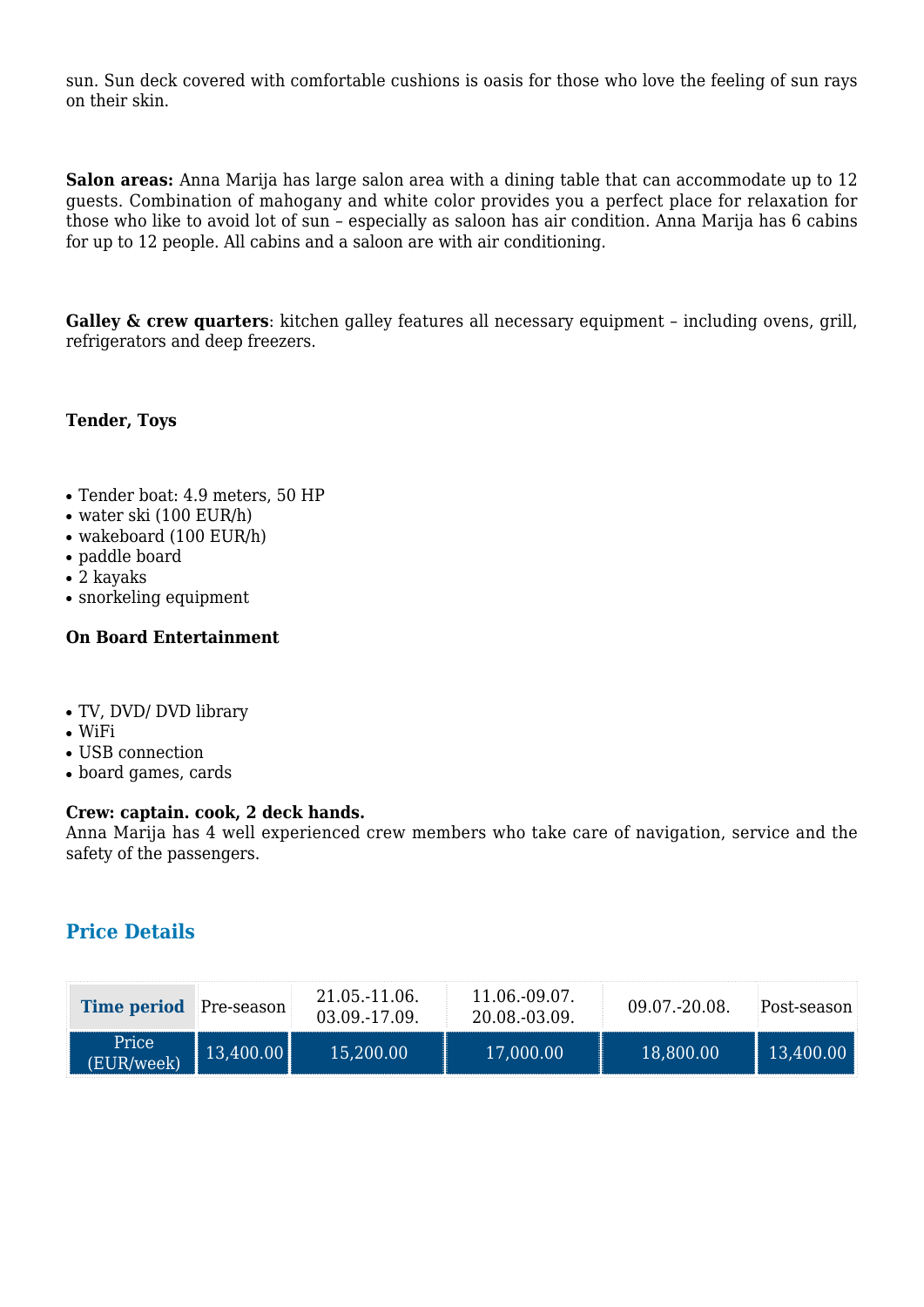sun. Sun deck covered with comfortable cushions is oasis for those who love the feeling of sun rays on their skin.

**Salon areas:** Anna Marija has large salon area with a dining table that can accommodate up to 12 guests. Combination of mahogany and white color provides you a perfect place for relaxation for those who like to avoid lot of sun – especially as saloon has air condition. Anna Marija has 6 cabins for up to 12 people. All cabins and a saloon are with air conditioning.

**Galley & crew quarters**: kitchen galley features all necessary equipment - including ovens, grill, refrigerators and deep freezers.

#### **Tender, Toys**

- Tender boat: 4.9 meters, 50 HP
- $\bullet$  water ski (100 EUR/h)
- $\bullet$  wakeboard (100 EUR/h)
- paddle board
- 2 kayaks
- snorkeling equipment

#### **On Board Entertainment**

- TV, DVD/ DVD library
- $\bullet$  WiFi
- USB connection
- board games, cards

#### **Crew: captain. cook, 2 deck hands.**

Anna Marija has 4 well experienced crew members who take care of navigation, service and the safety of the passengers.

#### **Price Details**

| <b>Time period</b> Pre-season |                         | 21.05.-11.06.<br>03.09.-17.09. | 11.06.-09.07<br>20.08.-03.09. | $09.07 - 20.08$ | Post-season. |
|-------------------------------|-------------------------|--------------------------------|-------------------------------|-----------------|--------------|
| Price<br>(EUR/week            | $\mid$ 13,400.00 $\mid$ | 15,200.00                      | 17,000.00                     | 18,800.00       | 13,400.      |